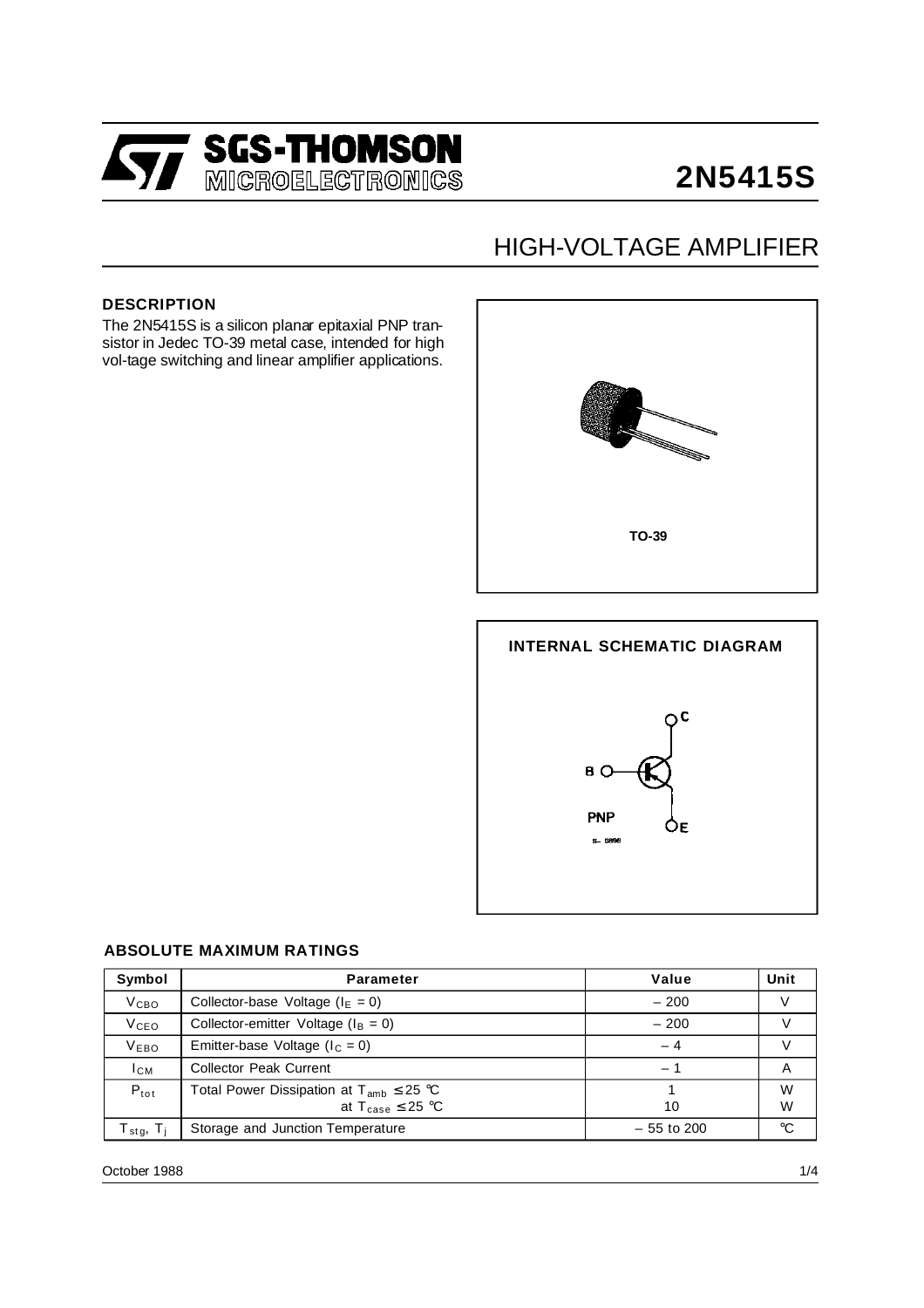

## **2N5415S**

## HIGH-VOLTAGE AMPLIFIER

### **DESCRIPTION**

The 2N5415S is a silicon planar epitaxial PNP transistor in Jedec TO-39 metal case, intended for high vol-tage switching and linear amplifier applications.



# **INTERNAL SCHEMATIC DIAGRAM**  $\overline{C}$ B<sub>O</sub> PNP ÓЕ  $S - 6896$

#### **ABSOLUTE MAXIMUM RATINGS**

| Symbol                            | <b>Parameter</b>                                | Value                    | Unit |
|-----------------------------------|-------------------------------------------------|--------------------------|------|
| V <sub>CBO</sub>                  | Collector-base Voltage ( $IE = 0$ )             | $-200$                   |      |
| V <sub>CEO</sub>                  | Collector-emitter Voltage ( $I_B = 0$ )         | $-200$                   |      |
| V <sub>EBO</sub>                  | Emitter-base Voltage ( $I_c = 0$ )              | - 4                      |      |
| $I_{CM}$                          | <b>Collector Peak Current</b>                   | $\overline{\phantom{0}}$ | A    |
| $P_{tot}$                         | Total Power Dissipation at $T_{amb} \leq 25$ °C |                          | W    |
|                                   | at $T_{\text{case}} \leq 25$ °C                 | 10                       | W    |
| T <sub>stg</sub> , T <sub>i</sub> | Storage and Junction Temperature                | $-55$ to 200             | °C   |

October 1988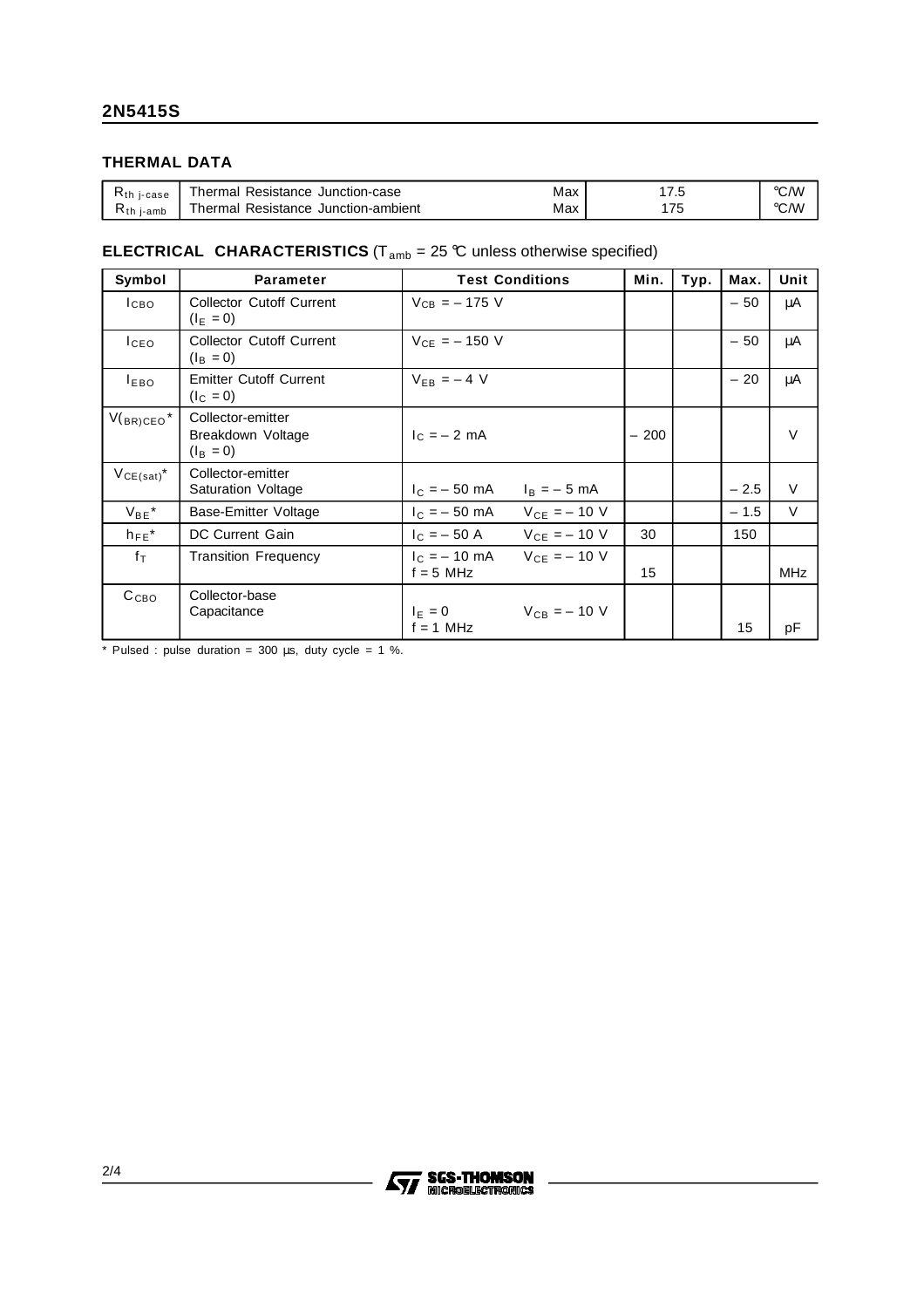### **THERMAL DATA**

| i-case<br><b>Nth</b> | Junction-case<br>Thermal<br>Resistance          | Max | ٠                              | °C/W |
|----------------------|-------------------------------------------------|-----|--------------------------------|------|
| ╲th<br>i-amb         | --<br>Junction-ambient<br>Resistance<br>Thermal | Max | 75<br>$\overline{\phantom{a}}$ | °C/W |

### **ELECTRICAL CHARACTERISTICS** ( $T_{amb} = 25 \,^{\circ}\text{C}$  unless otherwise specified)

| Symbol           | <b>Parameter</b>                                            | <b>Test Conditions</b>                         | Min.                            | Typ. | Max.   | <b>Unit</b> |
|------------------|-------------------------------------------------------------|------------------------------------------------|---------------------------------|------|--------|-------------|
| I <sub>CBO</sub> | <b>Collector Cutoff Current</b><br>$(I_F = 0)$              | $V_{CB} = -175$ V                              |                                 |      | $-50$  | μA          |
| I <sub>CEO</sub> | <b>Collector Cutoff Current</b><br>$(I_B = 0)$              | $V_{CF} = -150$ V                              |                                 |      | $-50$  | μA          |
| $I_{EBO}$        | <b>Emitter Cutoff Current</b><br>$(I_C = 0)$                | $V_{FB} = -4 V$                                |                                 |      | $-20$  | μA          |
| $V(BR)CEO^*$     | Collector-emitter<br>Breakdown Voltage<br>$(I_{\rm B} = 0)$ | $c = -2$ mA                                    | 200<br>$\overline{\phantom{0}}$ |      |        | $\vee$      |
| $V_{CE(sat)}$    | Collector-emitter<br>Saturation Voltage                     | $I_C = -50$ mA $I_B = -5$ mA                   |                                 |      | $-2.5$ | $\vee$      |
| $V_{BE}$ *       | Base-Emitter Voltage                                        | $V_{CE} = -10 V$<br>$I_{C} = -50$ mA           |                                 |      | $-1.5$ | V           |
| $h_{FE}$ *       | DC Current Gain                                             | $I_C = -50 A$ $V_{CE} = -10 V$                 | 30                              |      | 150    |             |
| $f_{\text{T}}$   | <b>Transition Frequency</b>                                 | $I_C = -10$ mA $V_{CE} = -10$ V<br>$f = 5$ MHz | 15                              |      |        | <b>MHz</b>  |
| C <sub>CBO</sub> | Collector-base<br>Capacitance                               | $V_{CB} = -10 V$<br>$I_F = 0$<br>$f = 1$ MHz   |                                 |      | 15     | pF          |

\* Pulsed : pulse duration =  $300 \mu s$ , duty cycle =  $1 \%$ .

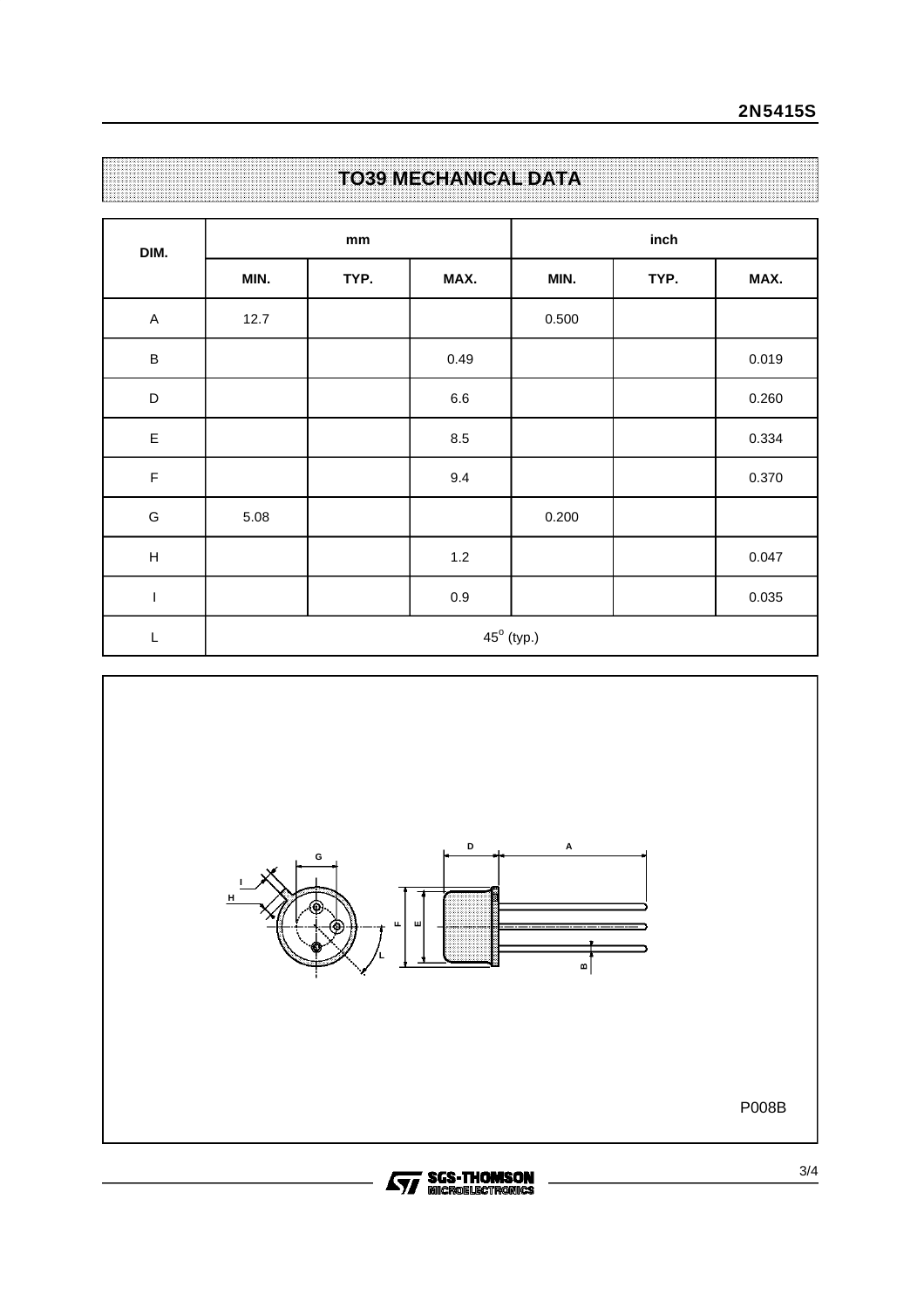| DIM.                      | mm   |      |         | inch                |      |       |  |
|---------------------------|------|------|---------|---------------------|------|-------|--|
|                           | MIN. | TYP. | MAX.    | MIN.                | TYP. | MAX.  |  |
| $\mathsf A$               | 12.7 |      |         | 0.500               |      |       |  |
| $\sf B$                   |      |      | 0.49    |                     |      | 0.019 |  |
| D                         |      |      | $6.6\,$ |                     |      | 0.260 |  |
| $\mathsf E$               |      |      | 8.5     |                     |      | 0.334 |  |
| $\mathsf F$               |      |      | $9.4\,$ |                     |      | 0.370 |  |
| ${\mathsf G}$             | 5.08 |      |         | 0.200               |      |       |  |
| $\boldsymbol{\mathsf{H}}$ |      |      | $1.2$   |                     |      | 0.047 |  |
| $\overline{1}$            |      |      | $0.9\,$ |                     |      | 0.035 |  |
| $\mathsf L$               |      |      |         | $45^{\circ}$ (typ.) |      |       |  |

**TO39 MECHANICAL DATA**